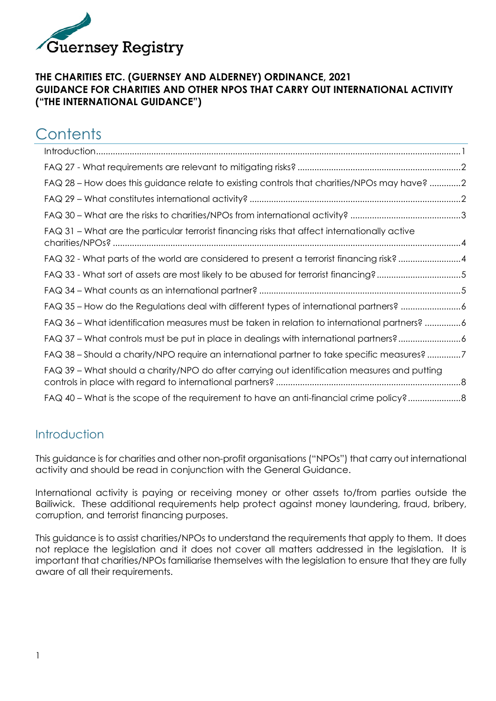

#### **THE CHARITIES ETC. (GUERNSEY AND ALDERNEY) ORDINANCE, 2021 GUIDANCE FOR CHARITIES AND OTHER NPOS THAT CARRY OUT INTERNATIONAL ACTIVITY ("THE INTERNATIONAL GUIDANCE")**

# **Contents**

| FAQ 28 - How does this guidance relate to existing controls that charities/NPOs may have? 2   |
|-----------------------------------------------------------------------------------------------|
|                                                                                               |
|                                                                                               |
| FAQ 31 - What are the particular terrorist financing risks that affect internationally active |
| FAQ 32 - What parts of the world are considered to present a terrorist financing risk?4       |
| FAQ 33 - What sort of assets are most likely to be abused for terrorist financing?5           |
|                                                                                               |
| FAQ 35 - How do the Regulations deal with different types of international partners? 6        |
| FAQ 36 - What identification measures must be taken in relation to international partners? 6  |
| FAQ 37 - What controls must be put in place in dealings with international partners?6         |
| FAQ 38 - Should a charity/NPO require an international partner to take specific measures?7    |
| FAQ 39 - What should a charity/NPO do after carrying out identification measures and putting  |
| FAQ 40 – What is the scope of the requirement to have an anti-financial crime policy?         |

## <span id="page-0-0"></span>Introduction

This guidance is for charities and other non-profit organisations ("NPOs") that carry out international activity and should be read in conjunction with the General Guidance.

International activity is paying or receiving money or other assets to/from parties outside the Bailiwick. These additional requirements help protect against money laundering, fraud, bribery, corruption, and terrorist financing purposes.

This guidance is to assist charities/NPOs to understand the requirements that apply to them. It does not replace the legislation and it does not cover all matters addressed in the legislation. It is important that charities/NPOs familiarise themselves with the legislation to ensure that they are fully aware of all their requirements.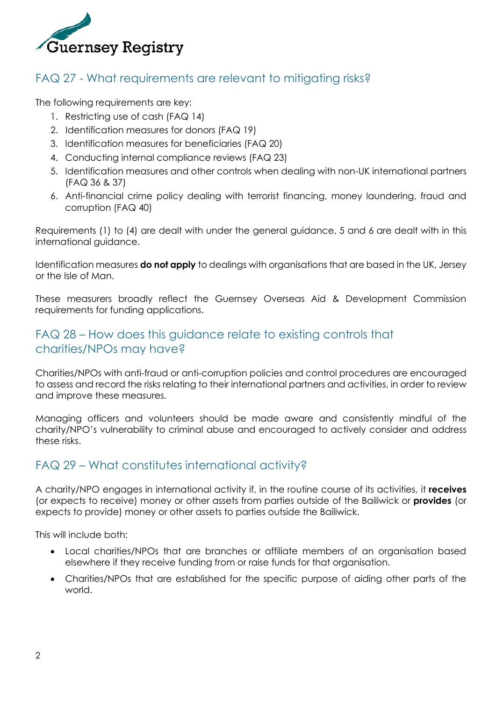

### <span id="page-1-0"></span>FAQ 27 - What requirements are relevant to mitigating risks?

The following requirements are key:

- 1. Restricting use of cash (FAQ 14)
- 2. Identification measures for donors (FAQ 19)
- 3. Identification measures for beneficiaries (FAQ 20)
- 4. Conducting internal compliance reviews (FAQ 23)
- 5. Identification measures and other controls when dealing with non-UK international partners (FAQ 36 & 37)
- 6. Anti-financial crime policy dealing with terrorist financing, money laundering, fraud and corruption (FAQ 40)

Requirements (1) to (4) are dealt with under the general guidance, 5 and 6 are dealt with in this international guidance.

Identification measures **do not apply** to dealings with organisations that are based in the UK, Jersey or the Isle of Man.

These measurers broadly reflect the Guernsey Overseas Aid & Development Commission requirements for funding applications.

### <span id="page-1-1"></span>FAQ 28 – How does this guidance relate to existing controls that charities/NPOs may have?

Charities/NPOs with anti-fraud or anti-corruption policies and control procedures are encouraged to assess and record the risks relating to their international partners and activities, in order to review and improve these measures.

Managing officers and volunteers should be made aware and consistently mindful of the charity/NPO's vulnerability to criminal abuse and encouraged to actively consider and address these risks.

#### <span id="page-1-2"></span>FAQ 29 – What constitutes international activity?

A charity/NPO engages in international activity if, in the routine course of its activities, it **receives** (or expects to receive) money or other assets from parties outside of the Bailiwick or **provides** (or expects to provide) money or other assets to parties outside the Bailiwick.

This will include both:

- Local charities/NPOs that are branches or affiliate members of an organisation based elsewhere if they receive funding from or raise funds for that organisation.
- Charities/NPOs that are established for the specific purpose of aiding other parts of the world.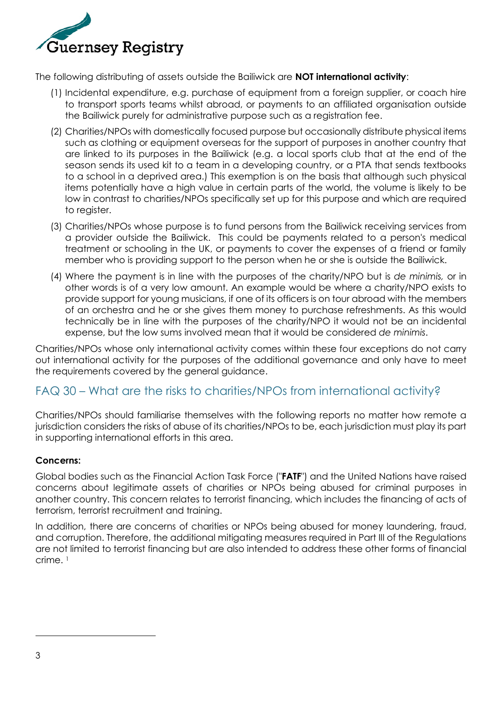

The following distributing of assets outside the Bailiwick are **NOT international activity**:

- (1) Incidental expenditure, e.g. purchase of equipment from a foreign supplier, or coach hire to transport sports teams whilst abroad, or payments to an affiliated organisation outside the Bailiwick purely for administrative purpose such as a registration fee.
- (2) Charities/NPOs with domestically focused purpose but occasionally distribute physical items such as clothing or equipment overseas for the support of purposes in another country that are linked to its purposes in the Bailiwick (e.g. a local sports club that at the end of the season sends its used kit to a team in a developing country, or a PTA that sends textbooks to a school in a deprived area.) This exemption is on the basis that although such physical items potentially have a high value in certain parts of the world, the volume is likely to be low in contrast to charities/NPOs specifically set up for this purpose and which are required to register.
- (3) Charities/NPOs whose purpose is to fund persons from the Bailiwick receiving services from a provider outside the Bailiwick. This could be payments related to a person's medical treatment or schooling in the UK, or payments to cover the expenses of a friend or family member who is providing support to the person when he or she is outside the Bailiwick.
- (4) Where the payment is in line with the purposes of the charity/NPO but is *de minimis,* or in other words is of a very low amount. An example would be where a charity/NPO exists to provide support for young musicians, if one of its officers is on tour abroad with the members of an orchestra and he or she gives them money to purchase refreshments. As this would technically be in line with the purposes of the charity/NPO it would not be an incidental expense, but the low sums involved mean that it would be considered *de minimis*.

Charities/NPOs whose only international activity comes within these four exceptions do not carry out international activity for the purposes of the additional governance and only have to meet the requirements covered by the general guidance.

### <span id="page-2-0"></span>FAQ 30 – What are the risks to charities/NPOs from international activity?

Charities/NPOs should familiarise themselves with the following reports no matter how remote a jurisdiction considers the risks of abuse of its charities/NPOs to be, each jurisdiction must play its part in supporting international efforts in this area.

#### **Concerns:**

Global bodies such as the Financial Action Task Force ("**FATF**") and the United Nations have raised concerns about legitimate assets of charities or NPOs being abused for criminal purposes in another country. This concern relates to terrorist financing, which includes the financing of acts of terrorism, terrorist recruitment and training.

In addition, there are concerns of charities or NPOs being abused for money laundering, fraud, and corruption. Therefore, the additional mitigating measures required in Part III of the Regulations are not limited to terrorist financing but are also intended to address these other forms of financial crime. 1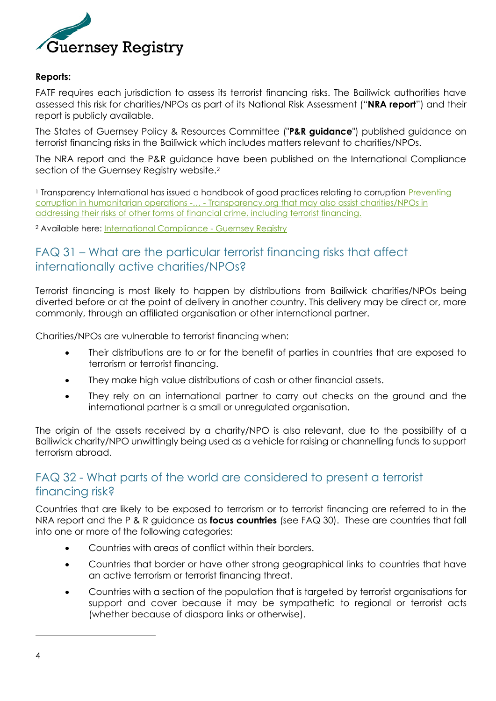

#### **Reports:**

FATF requires each jurisdiction to assess its terrorist financing risks. The Bailiwick authorities have assessed this risk for charities/NPOs as part of its National Risk Assessment ("**NRA report**") and their report is publicly available.

The States of Guernsey Policy & Resources Committee ("**P&R guidance**") published guidance on terrorist financing risks in the Bailiwick which includes matters relevant to charities/NPOs.

The NRA report and the P&R guidance have been published on the International Compliance section of the Guernsey Registry website.<sup>2</sup>

<sup>1</sup> Transparency International has issued a handbook of good practices relating to corruption Preventing [corruption in humanitarian operations -](https://www.transparency.org/en/publications/preventing-corruption-in-humanitarian-operations)… - Transparency.org that may also assist charities/NPOs in addressing their risks of other forms of financial crime, including terrorist financing.

<sup>2</sup> Available here: [International Compliance -](http://www.guernseyregistry.com/InternationalCompliance) Guernsey Registry

#### <span id="page-3-0"></span>FAQ 31 – What are the particular terrorist financing risks that affect internationally active charities/NPOs?

Terrorist financing is most likely to happen by distributions from Bailiwick charities/NPOs being diverted before or at the point of delivery in another country. This delivery may be direct or, more commonly, through an affiliated organisation or other international partner.

Charities/NPOs are vulnerable to terrorist financing when:

- Their distributions are to or for the benefit of parties in countries that are exposed to terrorism or terrorist financing.
- They make high value distributions of cash or other financial assets.
- They rely on an international partner to carry out checks on the ground and the international partner is a small or unregulated organisation.

The origin of the assets received by a charity/NPO is also relevant, due to the possibility of a Bailiwick charity/NPO unwittingly being used as a vehicle for raising or channelling funds to support terrorism abroad.

#### <span id="page-3-1"></span>FAQ 32 - What parts of the world are considered to present a terrorist financing risk?

Countries that are likely to be exposed to terrorism or to terrorist financing are referred to in the NRA report and the P & R guidance as **focus countries** (see FAQ 30).These are countries that fall into one or more of the following categories:

- Countries with areas of conflict within their borders.
- Countries that border or have other strong geographical links to countries that have an active terrorism or terrorist financing threat.
- Countries with a section of the population that is targeted by terrorist organisations for support and cover because it may be sympathetic to regional or terrorist acts (whether because of diaspora links or otherwise).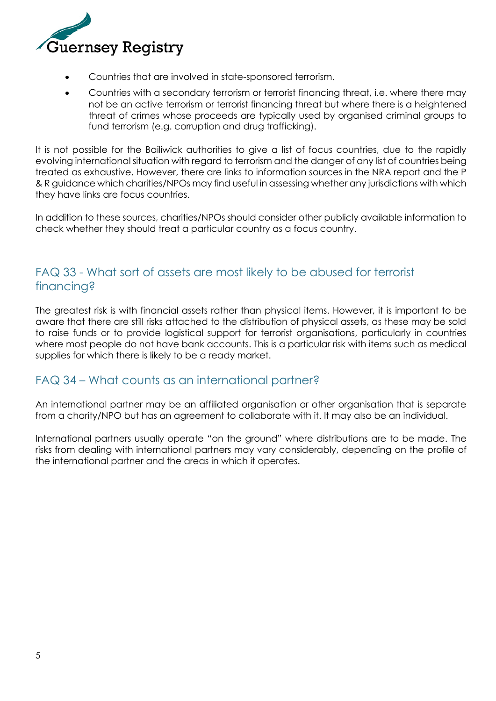

- Countries that are involved in state-sponsored terrorism.
- Countries with a secondary terrorism or terrorist financing threat, i.e. where there may not be an active terrorism or terrorist financing threat but where there is a heightened threat of crimes whose proceeds are typically used by organised criminal groups to fund terrorism (e.g. corruption and drug trafficking).

It is not possible for the Bailiwick authorities to give a list of focus countries, due to the rapidly evolving international situation with regard to terrorism and the danger of any list of countries being treated as exhaustive. However, there are links to information sources in the NRA report and the P & R guidance which charities/NPOs may find useful in assessing whether any jurisdictions with which they have links are focus countries.

In addition to these sources, charities/NPOs should consider other publicly available information to check whether they should treat a particular country as a focus country.

### <span id="page-4-0"></span>FAQ 33 - What sort of assets are most likely to be abused for terrorist financing?

The greatest risk is with financial assets rather than physical items. However, it is important to be aware that there are still risks attached to the distribution of physical assets, as these may be sold to raise funds or to provide logistical support for terrorist organisations, particularly in countries where most people do not have bank accounts. This is a particular risk with items such as medical supplies for which there is likely to be a ready market.

#### <span id="page-4-1"></span>FAQ 34 – What counts as an international partner?

An international partner may be an affiliated organisation or other organisation that is separate from a charity/NPO but has an agreement to collaborate with it. It may also be an individual.

International partners usually operate "on the ground" where distributions are to be made. The risks from dealing with international partners may vary considerably, depending on the profile of the international partner and the areas in which it operates.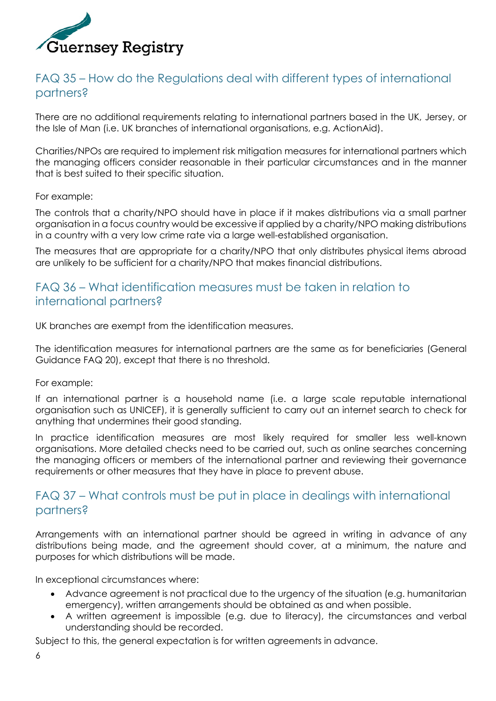

#### <span id="page-5-0"></span>FAQ 35 – How do the Regulations deal with different types of international partners?

There are no additional requirements relating to international partners based in the UK, Jersey, or the Isle of Man (i.e. UK branches of international organisations, e.g. ActionAid).

Charities/NPOs are required to implement risk mitigation measures for international partners which the managing officers consider reasonable in their particular circumstances and in the manner that is best suited to their specific situation.

For example:

The controls that a charity/NPO should have in place if it makes distributions via a small partner organisation in a focus country would be excessive if applied by a charity/NPO making distributions in a country with a very low crime rate via a large well-established organisation.

The measures that are appropriate for a charity/NPO that only distributes physical items abroad are unlikely to be sufficient for a charity/NPO that makes financial distributions.

#### <span id="page-5-1"></span>FAQ 36 – What identification measures must be taken in relation to international partners?

UK branches are exempt from the identification measures.

The identification measures for international partners are the same as for beneficiaries (General Guidance FAQ 20), except that there is no threshold.

For example:

If an international partner is a household name (i.e. a large scale reputable international organisation such as UNICEF), it is generally sufficient to carry out an internet search to check for anything that undermines their good standing.

In practice identification measures are most likely required for smaller less well-known organisations. More detailed checks need to be carried out, such as online searches concerning the managing officers or members of the international partner and reviewing their governance requirements or other measures that they have in place to prevent abuse.

#### <span id="page-5-2"></span>FAQ 37 – What controls must be put in place in dealings with international partners?

Arrangements with an international partner should be agreed in writing in advance of any distributions being made, and the agreement should cover, at a minimum, the nature and purposes for which distributions will be made.

In exceptional circumstances where:

- Advance agreement is not practical due to the urgency of the situation (e.g. humanitarian emergency), written arrangements should be obtained as and when possible.
- A written agreement is impossible (e.g. due to literacy), the circumstances and verbal understanding should be recorded.

Subject to this, the general expectation is for written agreements in advance.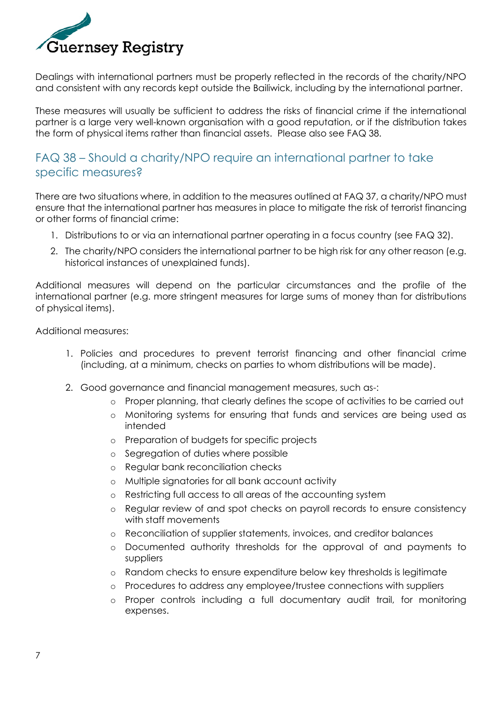

Dealings with international partners must be properly reflected in the records of the charity/NPO and consistent with any records kept outside the Bailiwick, including by the international partner.

These measures will usually be sufficient to address the risks of financial crime if the international partner is a large very well-known organisation with a good reputation, or if the distribution takes the form of physical items rather than financial assets. Please also see FAQ 38.

#### <span id="page-6-0"></span>FAQ 38 – Should a charity/NPO require an international partner to take specific measures?

There are two situations where, in addition to the measures outlined at FAQ 37, a charity/NPO must ensure that the international partner has measures in place to mitigate the risk of terrorist financing or other forms of financial crime:

- 1. Distributions to or via an international partner operating in a focus country (see FAQ 32).
- 2. The charity/NPO considers the international partner to be high risk for any other reason (e.g. historical instances of unexplained funds).

Additional measures will depend on the particular circumstances and the profile of the international partner (e.g. more stringent measures for large sums of money than for distributions of physical items).

Additional measures:

- 1. Policies and procedures to prevent terrorist financing and other financial crime (including, at a minimum, checks on parties to whom distributions will be made).
- 2. Good governance and financial management measures, such as-:
	- o Proper planning, that clearly defines the scope of activities to be carried out
	- o Monitoring systems for ensuring that funds and services are being used as intended
	- o Preparation of budgets for specific projects
	- o Segregation of duties where possible
	- o Regular bank reconciliation checks
	- o Multiple signatories for all bank account activity
	- o Restricting full access to all areas of the accounting system
	- o Regular review of and spot checks on payroll records to ensure consistency with staff movements
	- o Reconciliation of supplier statements, invoices, and creditor balances
	- o Documented authority thresholds for the approval of and payments to suppliers
	- o Random checks to ensure expenditure below key thresholds is legitimate
	- o Procedures to address any employee/trustee connections with suppliers
	- o Proper controls including a full documentary audit trail, for monitoring expenses.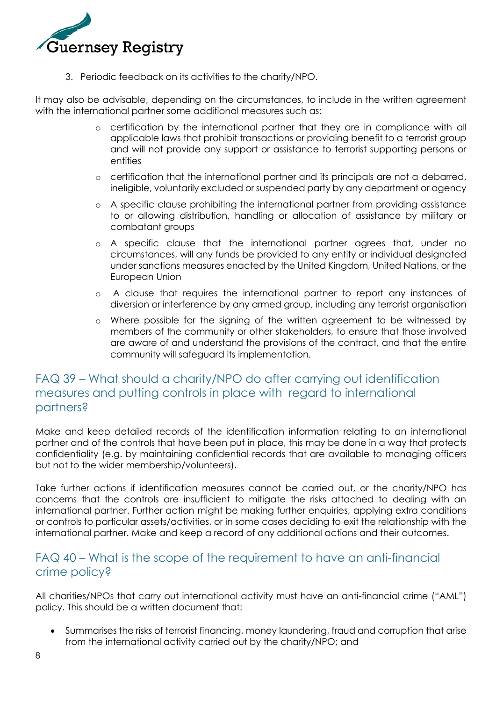

3. Periodic feedback on its activities to the charity/NPO.

It may also be advisable, depending on the circumstances, to include in the written agreement with the international partner some additional measures such as:

- o certification by the international partner that they are in compliance with all applicable laws that prohibit transactions or providing benefit to a terrorist group and will not provide any support or assistance to terrorist supporting persons or entities
- o certification that the international partner and its principals are not a debarred, ineligible, voluntarily excluded or suspended party by any department or agency
- o A specific clause prohibiting the international partner from providing assistance to or allowing distribution, handling or allocation of assistance by military or combatant groups
- o A specific clause that the international partner agrees that, under no circumstances, will any funds be provided to any entity or individual designated under sanctions measures enacted by the United Kingdom, United Nations, or the European Union
- o A clause that requires the international partner to report any instances of diversion or interference by any armed group, including any terrorist organisation
- o Where possible for the signing of the written agreement to be witnessed by members of the community or other stakeholders, to ensure that those involved are aware of and understand the provisions of the contract, and that the entire community will safeguard its implementation.

#### <span id="page-7-0"></span>FAQ 39 – What should a charity/NPO do after carrying out identification measures and putting controls in place with regard to international partners?

Make and keep detailed records of the identification information relating to an international partner and of the controls that have been put in place, this may be done in a way that protects confidentiality (e.g. by maintaining confidential records that are available to managing officers but not to the wider membership/volunteers).

Take further actions if identification measures cannot be carried out, or the charity/NPO has concerns that the controls are insufficient to mitigate the risks attached to dealing with an international partner. Further action might be making further enquiries, applying extra conditions or controls to particular assets/activities, or in some cases deciding to exit the relationship with the international partner. Make and keep a record of any additional actions and their outcomes.

#### <span id="page-7-1"></span>FAQ 40 – What is the scope of the requirement to have an anti-financial crime policy?

All charities/NPOs that carry out international activity must have an anti-financial crime ("AML") policy. This should be a written document that:

• Summarises the risks of terrorist financing, money laundering, fraud and corruption that arise from the international activity carried out by the charity/NPO; and